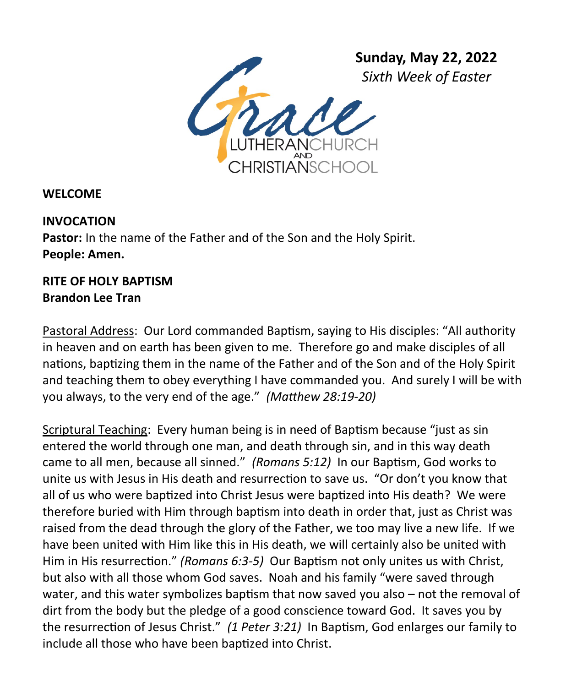

## **WELCOME**

# **INVOCATION**

Pastor: In the name of the Father and of the Son and the Holy Spirit. **People: Amen.**

# **RITE OF HOLY BAPTISM Brandon Lee Tran**

Pastoral Address: Our Lord commanded Baptism, saying to His disciples: "All authority in heaven and on earth has been given to me. Therefore go and make disciples of all nations, baptizing them in the name of the Father and of the Son and of the Holy Spirit and teaching them to obey everything I have commanded you. And surely I will be with you always, to the very end of the age." *(Matthew 28:19-20)*

Scriptural Teaching: Every human being is in need of Baptism because "just as sin entered the world through one man, and death through sin, and in this way death came to all men, because all sinned." *(Romans 5:12)* In our Baptism, God works to unite us with Jesus in His death and resurrection to save us. "Or don't you know that all of us who were baptized into Christ Jesus were baptized into His death? We were therefore buried with Him through baptism into death in order that, just as Christ was raised from the dead through the glory of the Father, we too may live a new life. If we have been united with Him like this in His death, we will certainly also be united with Him in His resurrection." *(Romans 6:3-5)* Our Baptism not only unites us with Christ, but also with all those whom God saves. Noah and his family "were saved through water, and this water symbolizes baptism that now saved you also – not the removal of dirt from the body but the pledge of a good conscience toward God. It saves you by the resurrection of Jesus Christ." *(1 Peter 3:21)* In Baptism, God enlarges our family to include all those who have been baptized into Christ.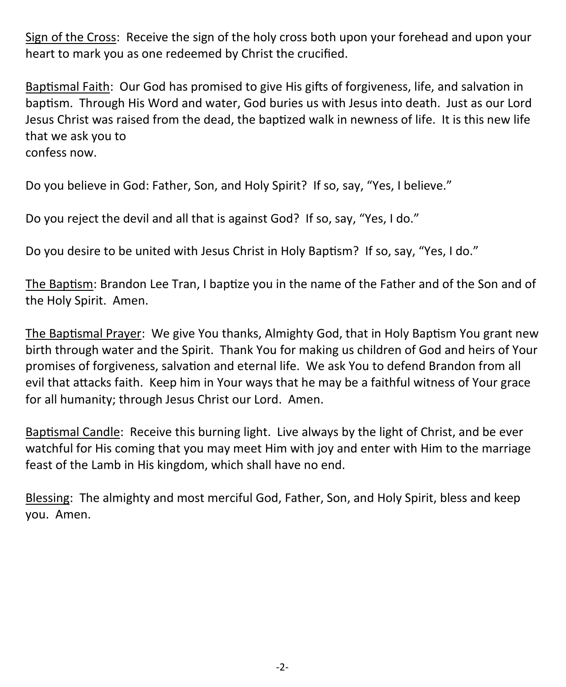Sign of the Cross: Receive the sign of the holy cross both upon your forehead and upon your heart to mark you as one redeemed by Christ the crucified.

Baptismal Faith: Our God has promised to give His gifts of forgiveness, life, and salvation in baptism. Through His Word and water, God buries us with Jesus into death. Just as our Lord Jesus Christ was raised from the dead, the baptized walk in newness of life. It is this new life that we ask you to confess now.

Do you believe in God: Father, Son, and Holy Spirit? If so, say, "Yes, I believe."

Do you reject the devil and all that is against God? If so, say, "Yes, I do."

Do you desire to be united with Jesus Christ in Holy Baptism? If so, say, "Yes. I do."

The Baptism: Brandon Lee Tran, I baptize you in the name of the Father and of the Son and of the Holy Spirit. Amen.

The Baptismal Prayer: We give You thanks, Almighty God, that in Holy Baptism You grant new birth through water and the Spirit. Thank You for making us children of God and heirs of Your promises of forgiveness, salvation and eternal life. We ask You to defend Brandon from all evil that attacks faith. Keep him in Your ways that he may be a faithful witness of Your grace for all humanity; through Jesus Christ our Lord. Amen.

Baptismal Candle: Receive this burning light. Live always by the light of Christ, and be ever watchful for His coming that you may meet Him with joy and enter with Him to the marriage feast of the Lamb in His kingdom, which shall have no end.

Blessing: The almighty and most merciful God, Father, Son, and Holy Spirit, bless and keep you. Amen.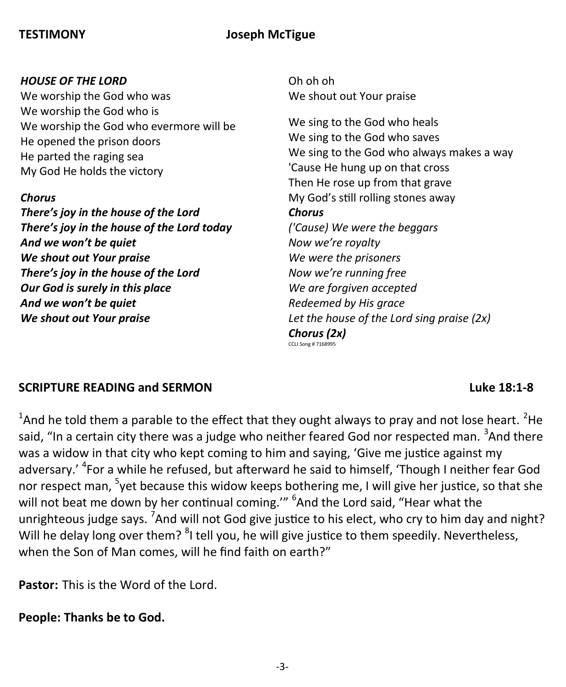# **TESTIMONY Joseph McTigue**

## *HOUSE OF THE LORD*

We worship the God who was We worship the God who is We worship the God who evermore will be He opened the prison doors He parted the raging sea My God He holds the victory

### *Chorus*

*There's joy in the house of the Lord There's joy in the house of the Lord today And we won't be quiet We shout out Your praise There's joy in the house of the Lord Our God is surely in this place And we won't be quiet We shout out Your praise*

Oh oh oh We shout out Your praise

We sing to the God who heals We sing to the God who saves We sing to the God who always makes a way 'Cause He hung up on that cross Then He rose up from that grave My God's still rolling stones away *Chorus ('Cause) We were the beggars Now we're royalty We were the prisoners Now we're running free We are forgiven accepted Redeemed by His grace Let the house of the Lord sing praise (2x) Chorus (2x)* CCLI Song # 7168995

# **SCRIPTURE READING and SERMON Luke 18:1-8**

 $^{1}$ And he told them a parable to the effect that they ought always to pray and not lose heart.  $^{2}$ He said, "In a certain city there was a judge who neither feared God nor respected man.  ${}^{3}$ And there was a widow in that city who kept coming to him and saying, 'Give me justice against my adversary.' <sup>4</sup>For a while he refused, but afterward he said to himself, 'Though I neither fear God nor respect man, <sup>5</sup>yet because this widow keeps bothering me, I will give her justice, so that she will not beat me down by her continual coming.'" <sup>6</sup>And the Lord said, "Hear what the unrighteous judge says. <sup>7</sup>And will not God give justice to his elect, who cry to him day and night? Will he delay long over them? <sup>8</sup>I tell you, he will give justice to them speedily. Nevertheless, when the Son of Man comes, will he find faith on earth?"

**Pastor:** This is the Word of the Lord.

# **People: Thanks be to God.**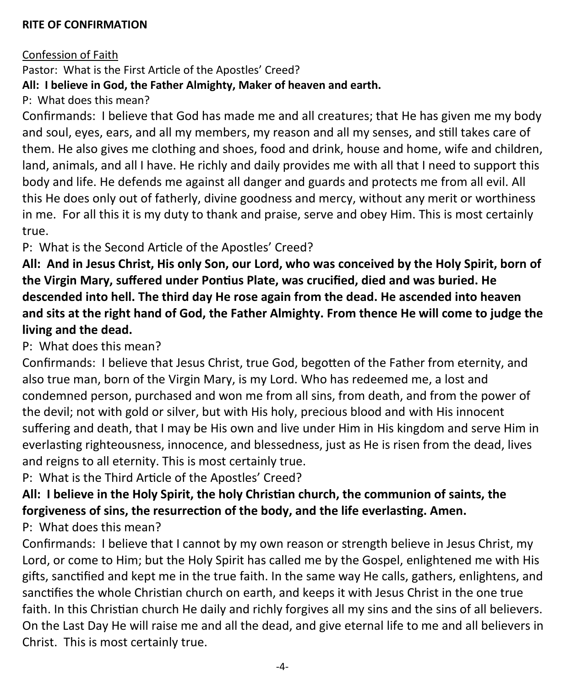## **RITE OF CONFIRMATION**

## Confession of Faith

# Pastor: What is the First Article of the Apostles' Creed?

# **All: I believe in God, the Father Almighty, Maker of heaven and earth.**

P: What does this mean?

Confirmands: I believe that God has made me and all creatures; that He has given me my body and soul, eyes, ears, and all my members, my reason and all my senses, and still takes care of them. He also gives me clothing and shoes, food and drink, house and home, wife and children, land, animals, and all I have. He richly and daily provides me with all that I need to support this body and life. He defends me against all danger and guards and protects me from all evil. All this He does only out of fatherly, divine goodness and mercy, without any merit or worthiness in me. For all this it is my duty to thank and praise, serve and obey Him. This is most certainly true.

P: What is the Second Article of the Apostles' Creed?

**All: And in Jesus Christ, His only Son, our Lord, who was conceived by the Holy Spirit, born of the Virgin Mary, suffered under Pontius Plate, was crucified, died and was buried. He descended into hell. The third day He rose again from the dead. He ascended into heaven and sits at the right hand of God, the Father Almighty. From thence He will come to judge the living and the dead.**

P: What does this mean?

Confirmands: I believe that Jesus Christ, true God, begotten of the Father from eternity, and also true man, born of the Virgin Mary, is my Lord. Who has redeemed me, a lost and condemned person, purchased and won me from all sins, from death, and from the power of the devil; not with gold or silver, but with His holy, precious blood and with His innocent suffering and death, that I may be His own and live under Him in His kingdom and serve Him in everlasting righteousness, innocence, and blessedness, just as He is risen from the dead, lives and reigns to all eternity. This is most certainly true.

P: What is the Third Article of the Apostles' Creed?

# **All: I believe in the Holy Spirit, the holy Christian church, the communion of saints, the forgiveness of sins, the resurrection of the body, and the life everlasting. Amen.**

P: What does this mean?

Confirmands: I believe that I cannot by my own reason or strength believe in Jesus Christ, my Lord, or come to Him; but the Holy Spirit has called me by the Gospel, enlightened me with His gifts, sanctified and kept me in the true faith. In the same way He calls, gathers, enlightens, and sanctifies the whole Christian church on earth, and keeps it with Jesus Christ in the one true faith. In this Christian church He daily and richly forgives all my sins and the sins of all believers. On the Last Day He will raise me and all the dead, and give eternal life to me and all believers in Christ. This is most certainly true.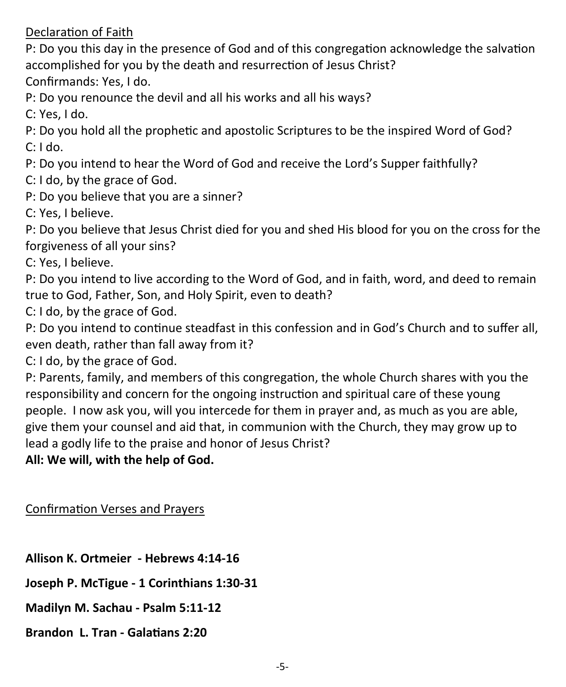Declaration of Faith

P: Do you this day in the presence of God and of this congregation acknowledge the salvation accomplished for you by the death and resurrection of Jesus Christ?

Confirmands: Yes, I do.

P: Do you renounce the devil and all his works and all his ways?

C: Yes, I do.

P: Do you hold all the prophetic and apostolic Scriptures to be the inspired Word of God? C: I do.

P: Do you intend to hear the Word of God and receive the Lord's Supper faithfully?

C: I do, by the grace of God.

P: Do you believe that you are a sinner?

C: Yes, I believe.

P: Do you believe that Jesus Christ died for you and shed His blood for you on the cross for the forgiveness of all your sins?

C: Yes, I believe.

P: Do you intend to live according to the Word of God, and in faith, word, and deed to remain true to God, Father, Son, and Holy Spirit, even to death?

C: I do, by the grace of God.

P: Do you intend to continue steadfast in this confession and in God's Church and to suffer all, even death, rather than fall away from it?

C: I do, by the grace of God.

P: Parents, family, and members of this congregation, the whole Church shares with you the responsibility and concern for the ongoing instruction and spiritual care of these young people. I now ask you, will you intercede for them in prayer and, as much as you are able, give them your counsel and aid that, in communion with the Church, they may grow up to lead a godly life to the praise and honor of Jesus Christ?

# **All: We will, with the help of God.**

# Confirmation Verses and Prayers

**Allison K. Ortmeier - Hebrews 4:14-16**

**Joseph P. McTigue - 1 Corinthians 1:30-31**

**Madilyn M. Sachau - Psalm 5:11-12**

**Brandon L. Tran - Galatians 2:20**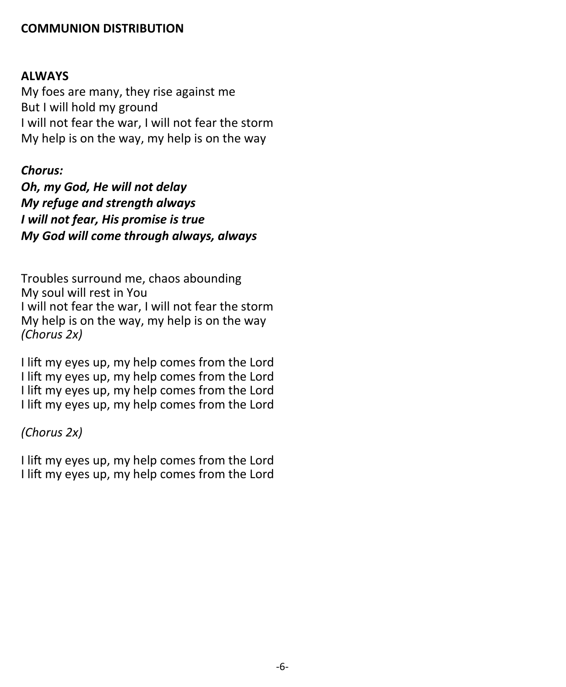## **COMMUNION DISTRIBUTION**

## **ALWAYS**

My foes are many, they rise against me But I will hold my ground I will not fear the war, I will not fear the storm My help is on the way, my help is on the way

*Chorus:* 

*Oh, my God, He will not delay My refuge and strength always I will not fear, His promise is true My God will come through always, always*

Troubles surround me, chaos abounding My soul will rest in You I will not fear the war, I will not fear the storm My help is on the way, my help is on the way *(Chorus 2x)*

I lift my eyes up, my help comes from the Lord I lift my eyes up, my help comes from the Lord I lift my eyes up, my help comes from the Lord I lift my eyes up, my help comes from the Lord

## *(Chorus 2x)*

I lift my eyes up, my help comes from the Lord I lift my eyes up, my help comes from the Lord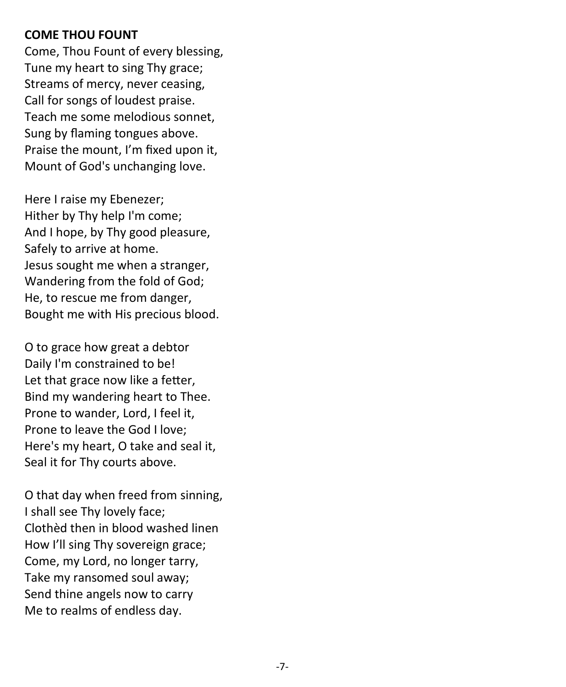## **COME THOU FOUNT**

Come, Thou Fount of every blessing, Tune my heart to sing Thy grace; Streams of mercy, never ceasing, Call for songs of loudest praise. Teach me some melodious sonnet, Sung by flaming tongues above. Praise the mount, I'm fixed upon it, Mount of God's unchanging love.

Here I raise my Ebenezer; Hither by Thy help I'm come; And I hope, by Thy good pleasure, Safely to arrive at home. Jesus sought me when a stranger, Wandering from the fold of God; He, to rescue me from danger, Bought me with His precious blood.

O to grace how great a debtor Daily I'm constrained to be! Let that grace now like a fetter, Bind my wandering heart to Thee. Prone to wander, Lord, I feel it, Prone to leave the God I love; Here's my heart, O take and seal it, Seal it for Thy courts above.

O that day when freed from sinning, I shall see Thy lovely face; Clothèd then in blood washed linen How I'll sing Thy sovereign grace; Come, my Lord, no longer tarry, Take my ransomed soul away; Send thine angels now to carry Me to realms of endless day.